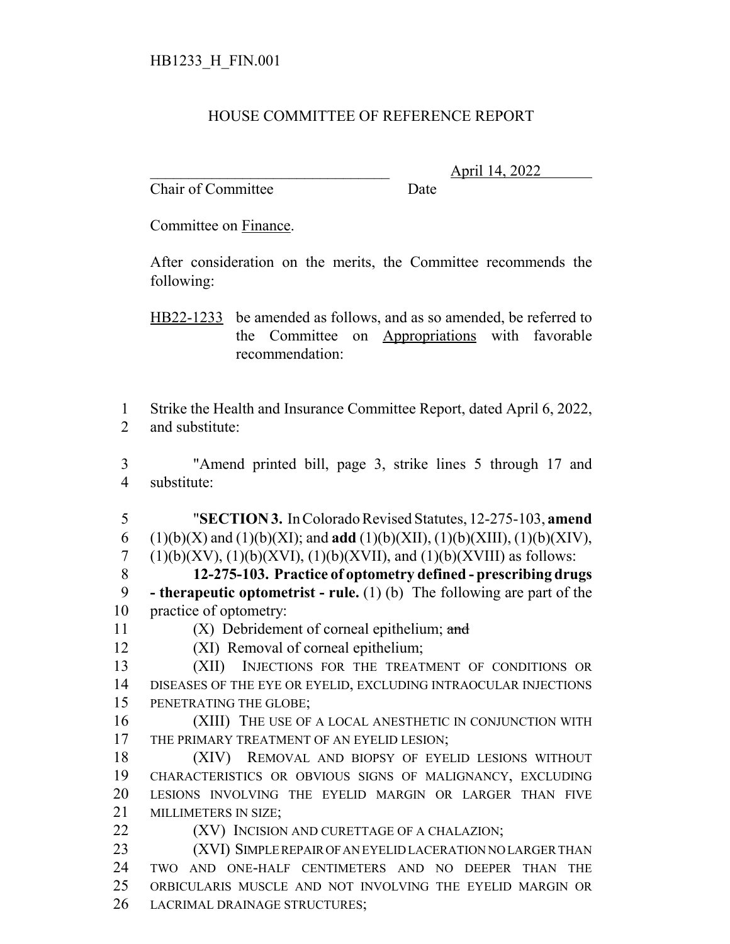## HOUSE COMMITTEE OF REFERENCE REPORT

Chair of Committee Date

\_\_\_\_\_\_\_\_\_\_\_\_\_\_\_\_\_\_\_\_\_\_\_\_\_\_\_\_\_\_\_ April 14, 2022

Committee on Finance.

After consideration on the merits, the Committee recommends the following:

HB22-1233 be amended as follows, and as so amended, be referred to the Committee on Appropriations with favorable recommendation:

 Strike the Health and Insurance Committee Report, dated April 6, 2022, and substitute:

 "Amend printed bill, page 3, strike lines 5 through 17 and substitute:

 "**SECTION 3.** In Colorado Revised Statutes, 12-275-103, **amend** 6 (1)(b)(X) and (1)(b)(XI); and **add** (1)(b)(XII), (1)(b)(XIII), (1)(b)(XIV), 7 (1)(b)(XV), (1)(b)(XVI), (1)(b)(XVII), and (1)(b)(XVIII) as follows:

 **12-275-103. Practice of optometry defined - prescribing drugs - therapeutic optometrist - rule.** (1) (b) The following are part of the practice of optometry:

11  $(X)$  Debridement of corneal epithelium; and

(XI) Removal of corneal epithelium;

 (XII) INJECTIONS FOR THE TREATMENT OF CONDITIONS OR DISEASES OF THE EYE OR EYELID, EXCLUDING INTRAOCULAR INJECTIONS PENETRATING THE GLOBE;

 (XIII) THE USE OF A LOCAL ANESTHETIC IN CONJUNCTION WITH 17 THE PRIMARY TREATMENT OF AN EYELID LESION;

 (XIV) REMOVAL AND BIOPSY OF EYELID LESIONS WITHOUT CHARACTERISTICS OR OBVIOUS SIGNS OF MALIGNANCY, EXCLUDING LESIONS INVOLVING THE EYELID MARGIN OR LARGER THAN FIVE MILLIMETERS IN SIZE;

**(XV)** INCISION AND CURETTAGE OF A CHALAZION;

 (XVI) SIMPLE REPAIR OF AN EYELID LACERATION NO LARGER THAN TWO AND ONE-HALF CENTIMETERS AND NO DEEPER THAN THE ORBICULARIS MUSCLE AND NOT INVOLVING THE EYELID MARGIN OR LACRIMAL DRAINAGE STRUCTURES;